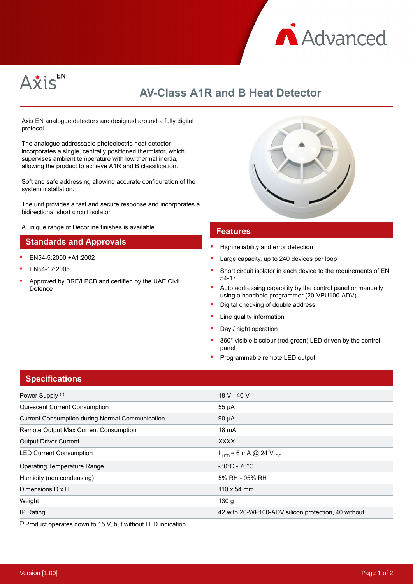



# **AV-Class A1R and B Heat Detector**

Axis EN analogue detectors are designed around a fully digital protocol.

The analogue addressable photoelectric heat detector incorporates a single, centrally positioned thermistor, which supervises ambient temperature with low thermal inertia, allowing the product to achieve A1R and B classification.

Soft and safe addressing allowing accurate configuration of the system installation.

The unit provides a fast and secure response and incorporates a bidirectional short circuit isolator.

A unique range of Decorline finishes is available.

#### **Standards and Approvals**

- EN54-5:2000 +A1:2002
- EN54-17:2005
- Approved by BRE/LPCB and certified by the UAE Civil Defence



#### **Features**

- High reliability and error detection
- Large capacity, up to 240 devices per loop
- Short circuit isolator in each device to the requirements of EN 54-17
- Auto addressing capability by the control panel or manually using a handheld programmer (20-VPU100-ADV)
- Digital checking of double address
- Line quality information
- Day / night operation
- 360° visible bicolour (red green) LED driven by the control panel
- Programmable remote LED output

### **Specifications**

| Power Supply (*)                                       | 18 V - 40 V                                         |
|--------------------------------------------------------|-----------------------------------------------------|
| Quiescent Current Consumption                          | 55 µA                                               |
| <b>Current Consumption during Normal Communication</b> | $90 \mu A$                                          |
| Remote Output Max Current Consumption                  | 18 mA                                               |
| <b>Output Driver Current</b>                           | <b>XXXX</b>                                         |
| <b>LED Current Consumption</b>                         | $I_{LED}$ = 6 mA @ 24 V <sub>DC</sub>               |
| <b>Operating Temperature Range</b>                     | $-30^{\circ}$ C - 70 $^{\circ}$ C                   |
| Humidity (non condensing)                              | 5% RH - 95% RH                                      |
| Dimensions D x H                                       | $110 \times 54$ mm                                  |
| Weight                                                 | 130 <sub>g</sub>                                    |
| IP Rating                                              | 42 with 20-WP100-ADV silicon protection, 40 without |

(\*) Product operates down to 15 V, but without LED indication.